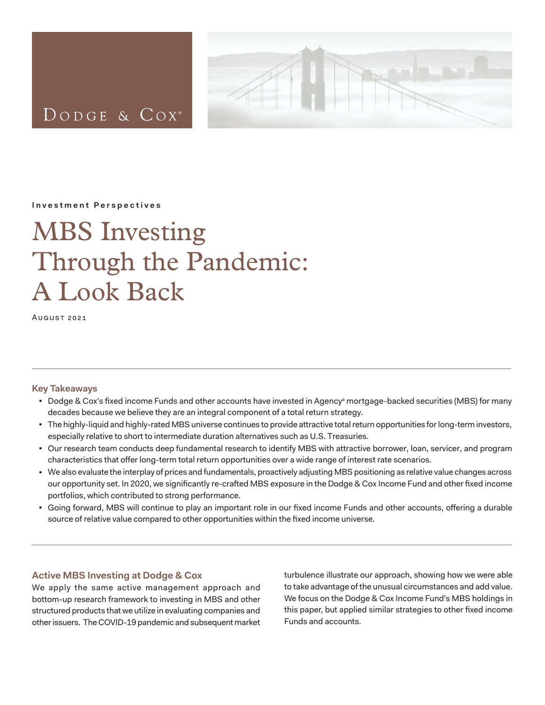

DODGE & COX<sup>®</sup>

**Investment Perspectives**

# MBS Investing Through the Pandemic: A Look Back

August 2021

# **Key Takeaways**

- Dodge & Cox's fixed income Funds and other accounts have invested in Agencyª mortgage-backed securities (MBS) for many decades because we believe they are an integral component of a total return strategy.
- The highly-liquid and highly-rated MBS universe continues to provide attractive total return opportunities for long-term investors, especially relative to short to intermediate duration alternatives such as U.S. Treasuries.
- Our research team conducts deep fundamental research to identify MBS with attractive borrower, loan, servicer, and program characteristics that offer long-term total return opportunities over a wide range of interest rate scenarios.
- We also evaluate the interplay of prices and fundamentals, proactively adjusting MBS positioning as relative value changes across our opportunity set. In 2020, we significantly re-crafted MBS exposure in the Dodge & Cox Income Fund and other fixed income portfolios, which contributed to strong performance.
- <sup>◼</sup> Going forward, MBS will continue to play an important role in our fixed income Funds and other accounts, offering a durable source of relative value compared to other opportunities within the fixed income universe.

# **Active MBS Investing at Dodge & Cox**

We apply the same active management approach and bottom-up research framework to investing in MBS and other structured products that we utilize in evaluating companies and other issuers. The COVID-19 pandemic and subsequent market

turbulence illustrate our approach, showing how we were able to take advantage of the unusual circumstances and add value. We focus on the Dodge & Cox Income Fund's MBS holdings in this paper, but applied similar strategies to other fixed income Funds and accounts.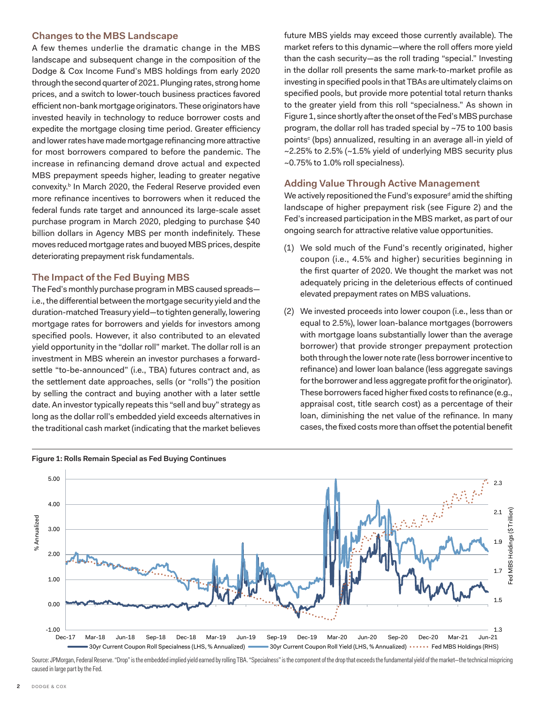#### **Changes to the MBS Landscape**

A few themes underlie the dramatic change in the MBS landscape and subsequent change in the composition of the Dodge & Cox Income Fund's MBS holdings from early 2020 through the second quarter of 2021. Plunging rates, strong home prices, and a switch to lower-touch business practices favored efficient non-bank mortgage originators. These originators have invested heavily in technology to reduce borrower costs and expedite the mortgage closing time period. Greater efficiency and lower rates have made mortgage refinancing more attractive for most borrowers compared to before the pandemic. The increase in refinancing demand drove actual and expected MBS prepayment speeds higher, leading to greater negative convexity.<sup>b</sup> In March 2020, the Federal Reserve provided even more refinance incentives to borrowers when it reduced the federal funds rate target and announced its large-scale asset purchase program in March 2020, pledging to purchase \$40 billion dollars in Agency MBS per month indefinitely. These moves reduced mortgage rates and buoyed MBS prices, despite deteriorating prepayment risk fundamentals.

### **The Impact of the Fed Buying MBS**

The Fed's monthly purchase program in MBS caused spreads i.e., the differential between the mortgage security yield and the duration-matched Treasury yield—to tighten generally, lowering mortgage rates for borrowers and yields for investors among specified pools. However, it also contributed to an elevated yield opportunity in the "dollar roll" market. The dollar roll is an investment in MBS wherein an investor purchases a forwardsettle "to-be-announced" (i.e., TBA) futures contract and, as the settlement date approaches, sells (or "rolls") the position by selling the contract and buying another with a later settle date. An investor typically repeats this "sell and buy" strategy as long as the dollar roll's embedded yield exceeds alternatives in the traditional cash market (indicating that the market believes future MBS yields may exceed those currently available). The market refers to this dynamic—where the roll offers more yield than the cash security—as the roll trading "special." Investing in the dollar roll presents the same mark-to-market profile as investing in specified pools in that TBAs are ultimately claims on specified pools, but provide more potential total return thanks to the greater yield from this roll "specialness." As shown in Figure 1, since shortly after the onset of the Fed's MBS purchase program, the dollar roll has traded special by ~75 to 100 basis points $^{\circ}$  (bps) annualized, resulting in an average all-in yield of ~2.25% to 2.5% (~1.5% yield of underlying MBS security plus ~0.75% to 1.0% roll specialness).

### **Adding Value Through Active Management**

We actively repositioned the Fund's exposure<sup>d</sup> amid the shifting landscape of higher prepayment risk (see Figure 2) and the Fed's increased participation in the MBS market, as part of our ongoing search for attractive relative value opportunities.

- (1) We sold much of the Fund's recently originated, higher coupon (i.e., 4.5% and higher) securities beginning in the first quarter of 2020. We thought the market was not adequately pricing in the deleterious effects of continued elevated prepayment rates on MBS valuations.
- (2) We invested proceeds into lower coupon (i.e., less than or equal to 2.5%), lower loan-balance mortgages (borrowers with mortgage loans substantially lower than the average borrower) that provide stronger prepayment protection both through the lower note rate (less borrower incentive to refinance) and lower loan balance (less aggregate savings for the borrower and less aggregate profit for the originator). These borrowers faced higher fixed costs to refinance (e.g., appraisal cost, title search cost) as a percentage of their loan, diminishing the net value of the refinance. In many cases, the fixed costs more than offset the potential benefit



Source: JPMorgan, Federal Reserve. "Drop" is the embedded implied yield earned by rolling TBA. "Specialness" is the component of the drop that exceeds the fundamental yield of the market—the technical mispricing caused in large part by the Fed.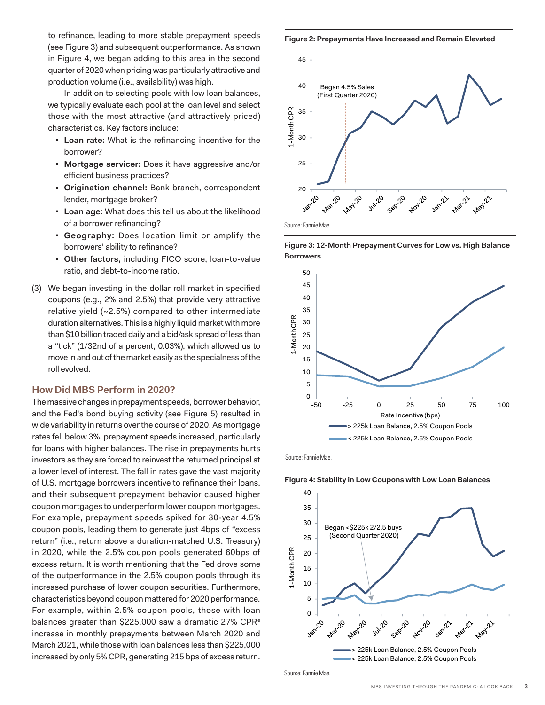to refinance, leading to more stable prepayment speeds (see Figure 3) and subsequent outperformance. As shown in Figure 4, we began adding to this area in the second quarter of 2020 when pricing was particularly attractive and production volume (i.e., availability) was high.

In addition to selecting pools with low loan balances, we typically evaluate each pool at the loan level and select those with the most attractive (and attractively priced) characteristics. Key factors include:

- <sup>◼</sup> **Loan rate:** What is the refinancing incentive for the borrower?
- <sup>◼</sup> **Mortgage servicer:** Does it have aggressive and/or efficient business practices?
- <sup>◼</sup> **Origination channel:** Bank branch, correspondent lender, mortgage broker?
- <sup>◼</sup> **Loan age:** What does this tell us about the likelihood of a borrower refinancing?
- <sup>◼</sup> **Geography:** Does location limit or amplify the borrowers' ability to refinance?
- <sup>◼</sup> **Other factors,** including FICO score, loan-to-value ratio, and debt-to-income ratio.
- (3) We began investing in the dollar roll market in specified coupons (e.g., 2% and 2.5%) that provide very attractive relative yield (~2.5%) compared to other intermediate duration alternatives. This is a highly liquid market with more than \$10 billion traded daily and a bid/ask spread of less than a "tick" (1/32nd of a percent, 0.03%), which allowed us to move in and out of the market easily as the specialness of the roll evolved.

#### **How Did MBS Perform in 2020?**

The massive changes in prepayment speeds, borrower behavior, and the Fed's bond buying activity (see Figure 5) resulted in wide variability in returns over the course of 2020. As mortgage rates fell below 3%, prepayment speeds increased, particularly for loans with higher balances. The rise in prepayments hurts investors as they are forced to reinvest the returned principal at a lower level of interest. The fall in rates gave the vast majority of U.S. mortgage borrowers incentive to refinance their loans, and their subsequent prepayment behavior caused higher coupon mortgages to underperform lower coupon mortgages. For example, prepayment speeds spiked for 30-year 4.5% coupon pools, leading them to generate just 4bps of "excess return" (i.e., return above a duration-matched U.S. Treasury) in 2020, while the 2.5% coupon pools generated 60bps of excess return. It is worth mentioning that the Fed drove some of the outperformance in the 2.5% coupon pools through its increased purchase of lower coupon securities. Furthermore, characteristics beyond coupon mattered for 2020 performance. For example, within 2.5% coupon pools, those with loan balances greater than \$225,000 saw a dramatic 27% CPR<sup>e</sup> increase in monthly prepayments between March 2020 and March 2021, while those with loan balances less than \$225,000 increased by only 5% CPR, generating 215 bps of excess return.

**Figure 2: Prepayments Have Increased and Remain Elevated**



**Figure 3: 12-Month Prepayment Curves for Low vs. High Balance Borrowers**



Source: Fannie Mae.

40 35 30 Began <\$225k 2/2.5 buys (Second Quarter 2020) 25 1-Month CPR 1-Month CPR 20 15 10 5  $3^{36}$ Jul-20 **Marz**20 Seprito Nov-20 Jan-21 **Marz2 May-21** > 225k Loan Balance, 2.5% Coupon Pools < 225k Loan Balance, 2.5% Coupon Pools

**Figure 4: Stability in Low Coupons with Low Loan Balances**

Source: Fannie Mae.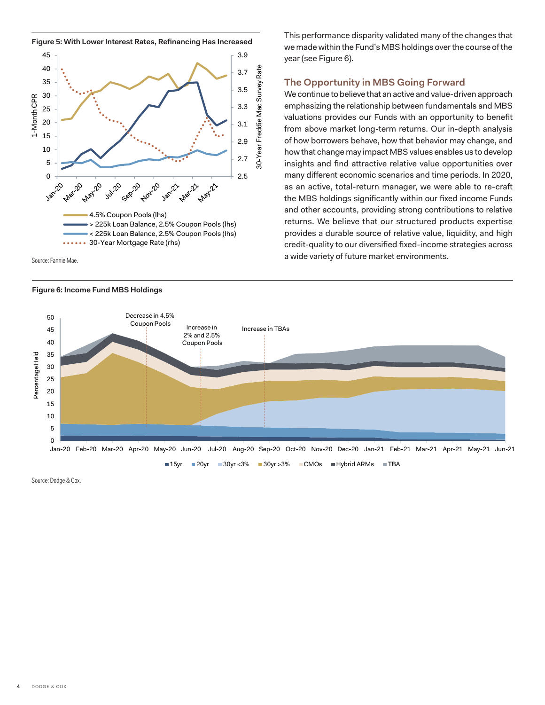

Source: Fannie Mae.

#### **Figure 6: Income Fund MBS Holdings**

This performance disparity validated many of the changes that we made within the Fund's MBS holdings over the course of the year (see Figure 6).

#### **The Opportunity in MBS Going Forward**

We continue to believe that an active and value-driven approach emphasizing the relationship between fundamentals and MBS valuations provides our Funds with an opportunity to benefit from above market long-term returns. Our in-depth analysis of how borrowers behave, how that behavior may change, and how that change may impact MBS values enables us to develop insights and find attractive relative value opportunities over many different economic scenarios and time periods. In 2020, as an active, total-return manager, we were able to re-craft the MBS holdings significantly within our fixed income Funds and other accounts, providing strong contributions to relative returns. We believe that our structured products expertise provides a durable source of relative value, liquidity, and high credit-quality to our diversified fixed-income strategies across a wide variety of future market environments.



Source: Dodge & Cox.